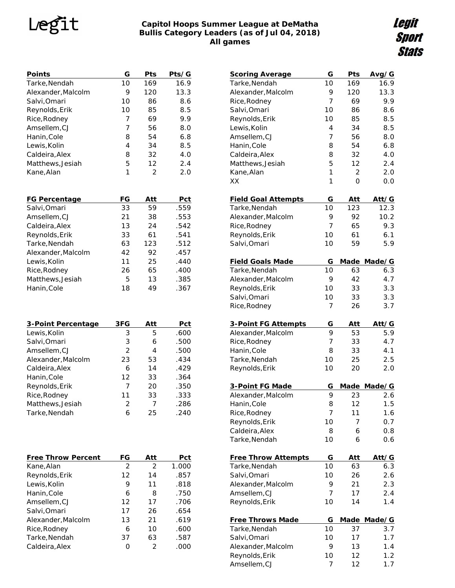### **Le** .t

### **Capitol Hoops Summer League at DeMatha Bullis Category Leaders (as of Jul 04, 2018) All games**

*Legit<br>Sport<br>Stats* 

| Points                    | G              | Pts            | Pts/G      |
|---------------------------|----------------|----------------|------------|
| Tarke, Nendah             | 10             | 169            | 16.9       |
| Alexander, Malcolm        | 9              | 120            | 13.3       |
| Salvi, Omari              | 10             | 86             | 8.6        |
| Reynolds, Erik            | 10             | 85             | 8.5        |
| Rice, Rodney              | 7              | 69             | 9.9        |
| Amsellem, CJ              | 7              | 56             | 8.0        |
| Hanin, Cole               | 8              | 54             | 6.8        |
| Lewis, Kolin              | 4              | 34             | 8.5        |
| Caldeira, Alex            | 8              | 32             | 4.0        |
| Matthews, Jesiah          | 5              | 12             | 2.4        |
| Kane, Alan                | 1              | $\overline{2}$ | 2.0        |
|                           |                |                |            |
| FG Percentage             | FG             | Att            | Pct        |
| Salvi, Omari              | 33             | 59             | .559       |
| Amsellem, CJ              | 21             | 38             | .553       |
| Caldeira, Alex            | 13             | 24             | .542       |
| Reynolds, Erik            | 33             | 61             | .541       |
| Tarke, Nendah             | 63             | 123            | .512       |
| Alexander, Malcolm        | 42             | 92             | .457       |
| Lewis, Kolin              | 11             | 25             | .440       |
| Rice, Rodney              | 26             | 65             | .400       |
| Matthews, Jesiah          | 5              | 13             | .385       |
| Hanin, Cole               | 18             | 49             | .367       |
|                           |                |                |            |
| 3-Point Percentage        | 3FG            | <u>Att</u>     | Pct        |
| Lewis, Kolin              | 3              | 5              | .600       |
| Salvi, Omari              | 3              | 6              | .500       |
| Amsellem, CJ              | $\overline{2}$ | 4              | .500       |
| Alexander, Malcolm        | 23             | 53             | .434       |
| Caldeira, Alex            | 6              | 14             | .429       |
| Hanin, Cole               | 12             | 33             | .364       |
| Reynolds, Erik            | 7              | 20             | .350       |
| Rice, Rodney              | 11             | 33             | .333       |
| Matthews, Jesiah          | 2              | 7              | .286       |
| Tarke, Nendah             | 6              | 25             | .240       |
| <b>Free Throw Percent</b> | FG             | <u>Att</u>     | <u>Pct</u> |
| Kane, Alan                | 2              | 2              | 1.000      |
| Reynolds, Erik            | 12             | 14             | .857       |
| Lewis, Kolin              | 9              | 11             | .818       |
|                           | 6              |                |            |
| Hanin, Cole               |                | 8              | .750       |
| Amsellem,CJ               | 12             | 17             | .706       |
| Salvi,Omari               | 17             | 26             | .654       |
| Alexander, Malcolm        | 13             | 21             | .619       |
| Rice, Rodney              | 6              | 10             | .600       |
| Tarke, Nendah             | 37             | 63             | .587       |
| Caldeira, Alex            | 0              | 2              | .000       |
|                           |                |                |            |

| <b>Scoring Average</b>         | G              | Pts            | Avg/G      |
|--------------------------------|----------------|----------------|------------|
| Tarke, Nendah                  | 10             | 169            | 16.9       |
| Alexander, Malcolm             | 9              | 120            | 13.3       |
| Rice, Rodney                   | 7              | 69             | 9.9        |
| Salvi, Omari                   | 10             | 86             | 8.6        |
| Reynolds, Erik                 | 10             | 85             | 8.5        |
| Lewis, Kolin                   | $\overline{4}$ | 34             | 8.5        |
| Amsellem, CJ                   | 7              | 56             | 8.0        |
| Hanin, Cole                    | 8              | 54             | 6.8        |
| Caldeira, Alex                 | 8              | 32             | 4.0        |
| Matthews, Jesiah               | 5              | 12             | 2.4        |
| Kane, Alan                     | 1              | $\overline{2}$ | 2.0        |
| XX                             | 1              | 0              | 0.0        |
|                                |                |                |            |
| <b>Field Goal Attempts</b>     | G              | Att            | Att/G      |
| Tarke, Nendah                  | 10             | 123            | 12.3       |
| Alexander, Malcolm             | 9              | 92             | 10.2       |
| Rice, Rodney                   | 7              | 65             | 9.3        |
| Reynolds, Erik                 | 10             | 61             | 6.1        |
| Salvi, Omari                   | 10             | 59             | 5.9        |
|                                |                |                |            |
| <b>Field Goals Made</b>        | G              | Made           | Made/G     |
| Tarke, Nendah                  | 10             | 63             | 6.3        |
| Alexander, Malcolm             | 9              | 42             | 4.7        |
| Reynolds, Erik                 | 10             | 33             | 3.3        |
| Salvi, Omari                   | 10             | 33             | 3.3        |
| Rice, Rodney                   | 7              | 26             | 3.7        |
|                                |                |                |            |
|                                |                |                |            |
| 3-Point FG Attempts            | G              | Att            | Att/G      |
| Alexander, Malcolm             | 9              | 53             | 5.9        |
| Rice, Rodney                   | 7              | 33             | 4.7        |
| Hanin, Cole                    | 8              | 33             | 4.1        |
| Tarke, Nendah                  | 10             | 25             | 2.5        |
| Reynolds, Erik                 | 10             | 20             | 2.0        |
|                                |                |                |            |
| 3-Point FG Made                | G              | Made           | Made/G     |
| Alexander, Malcolm             | 9              | 23             | 2.6        |
| Hanin, Cole                    | 8              | 12             | 1.5        |
| Rice, Rodney                   | 7              | 11             | 1.6        |
| Reynolds, Erik                 | 10             | 7              | 0.7        |
| Caldeira, Alex                 | 8              | 6              | 0.8        |
| Tarke, Nendah                  | 10             | 6              | 0.6        |
|                                |                |                |            |
| <b>Free Throw Attempts</b>     | G              | Att            | Att/G      |
| Tarke, Nendah                  | 10             | 63             | 6.3        |
| Salvi, Omari                   | 10             | 26             | 2.6        |
| Alexander, Malcolm             | 9              | 21             | 2.3        |
| Amsellem, CJ                   | 7              | 17             | 2.4        |
| Reynolds, Erik                 | 10             | 14             | 1.4        |
|                                |                |                |            |
| <b>Free Throws Made</b>        | G              | <b>Made</b>    | Made/G     |
| Tarke, Nendah                  | 10             | 37             | 3.7        |
| Salvi, Omari                   | 10             | 17             | 1.7        |
| Alexander, Malcolm             | 9              | 13             | 1.4        |
| Reynolds, Erik<br>Amsellem, CJ | 10<br>7        | 12<br>12       | 1.2<br>1.7 |